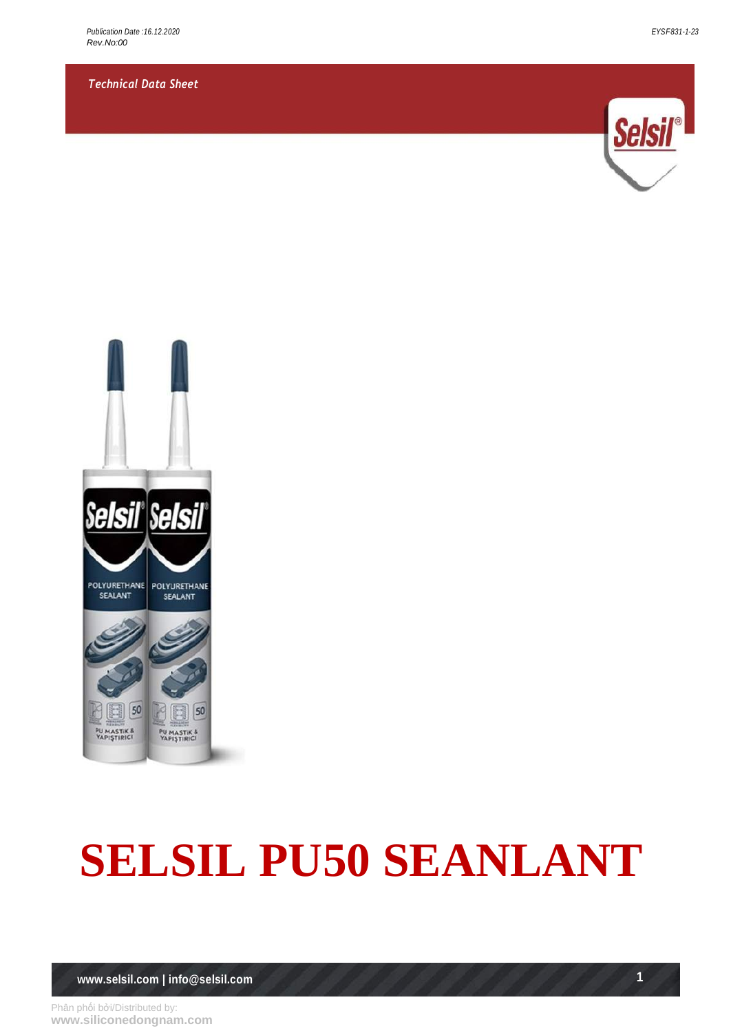*Technical Data Sheet*





# **SELSIL PU50 SEANLANT**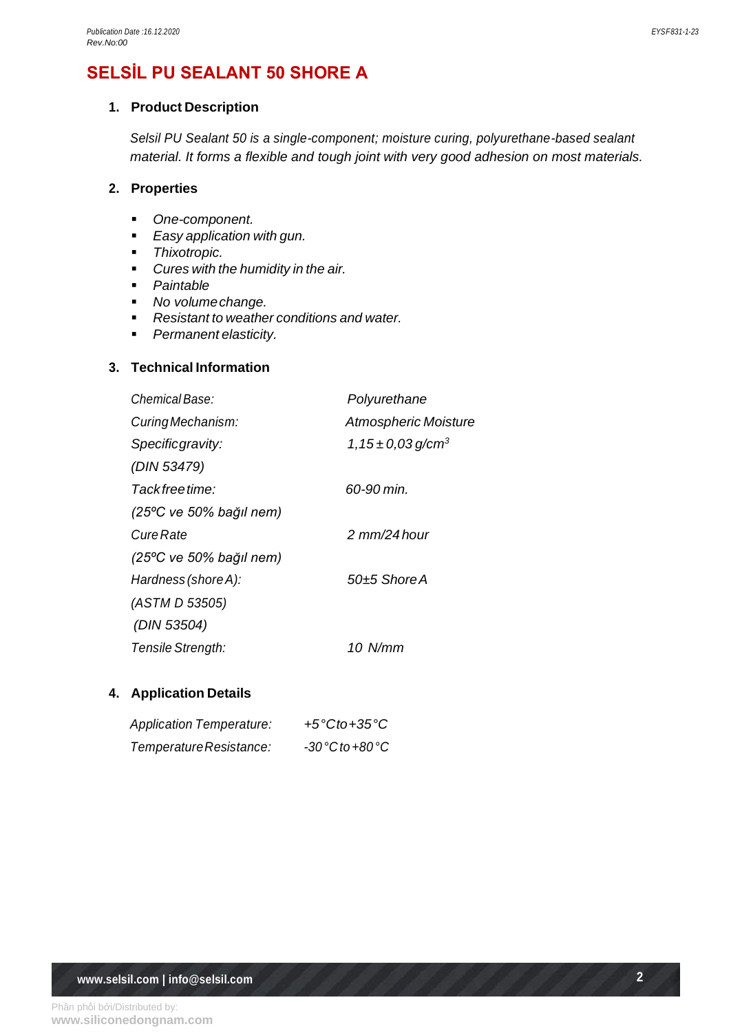## **SELSİL PU SEALANT 50 SHORE A**

## **1. Product Description**

*Selsil PU Sealant 50 is a single-component; moisture curing, polyurethane-based sealant material. It forms a flexible and tough joint with very good adhesion on most materials.*

## **2. Properties**

- *One-component.*
- *Easy application with gun.*
- *Thixotropic.*
- *Cures with the humidity in the air.*
- *Paintable*
- *No volumechange.*
- *Resistant to weather conditions and water.*
- *Permanent elasticity.*

## **3. Technical Information**

| Chemical Base:          | Polyurethane                       |
|-------------------------|------------------------------------|
| Curing Mechanism:       | <b>Atmospheric Moisture</b>        |
| Specificgravity:        | 1, 15 $\pm$ 0,03 g/cm <sup>3</sup> |
| (DIN 53479)             |                                    |
| Tack free time:         | 60-90 min.                         |
| (25°C ve 50% bağıl nem) |                                    |
| Cure Rate               | $2 \text{ mm}/24$ hour             |
| (25°C ve 50% bağıl nem) |                                    |
| Hardness (shore A):     | 50+5 Shore A                       |
| (ASTM D 53505)          |                                    |
| (DIN 53504)             |                                    |
| Tensile Strength:       | 10 N/mm                            |
|                         |                                    |

## **4. Application Details**

| <b>Application Temperature:</b> | +5 $°C$ to+35 $°C$   |
|---------------------------------|----------------------|
| Temperature Resistance:         | $-30 °C$ to $+80 °C$ |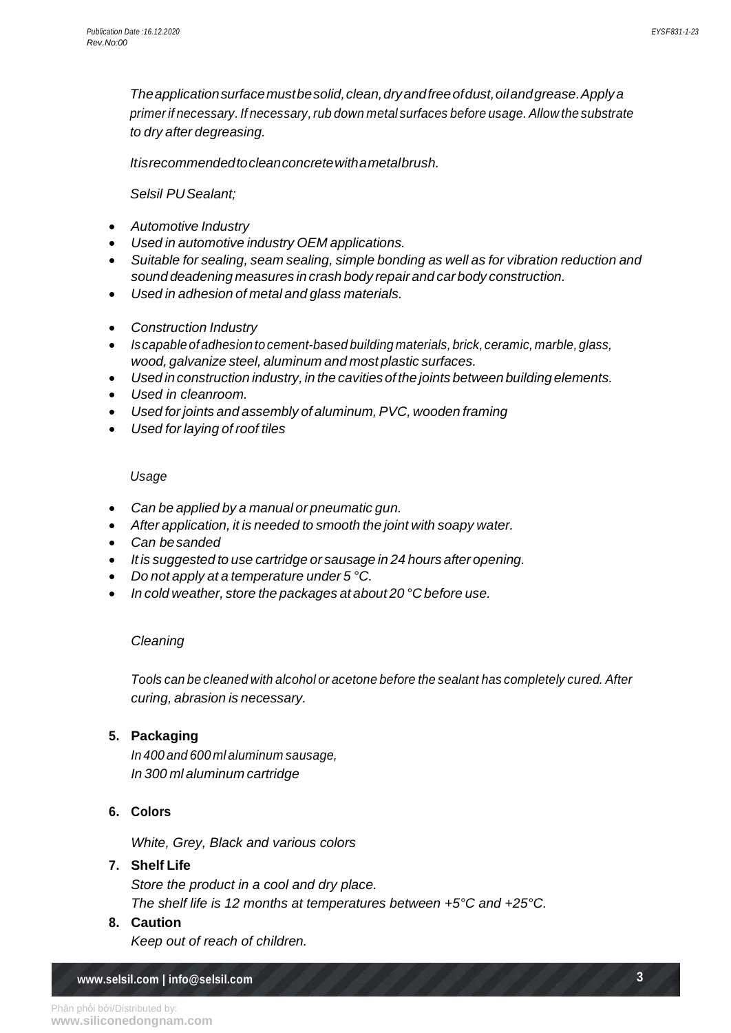*Theapplicationsurfacemustbesolid,clean,dryandfreeofdust,oilandgrease.Applya primer if necessary. If necessary,rub down metal surfaces before usage. Allow the substrate to dry after degreasing.*

*Itisrecommendedtocleanconcretewithametalbrush.* 

*Selsil PUSealant;*

- *Automotive Industry*
- *Used in automotive industry OEM applications.*
- *Suitable for sealing, seam sealing, simple bonding as well as for vibration reduction and sound deadening measures in crash body repair and car body construction.*
- *Used in adhesion of metal and glass materials.*
- *Construction Industry*
- *Is capable ofadhesion tocement-based building materials, brick,ceramic, marble, glass, wood, galvanize steel, aluminum and most plastic surfaces.*
- *Used inconstruction industry, in the cavities of the joints betweenbuilding elements.*
- *Used in cleanroom.*
- *Used forjoints and assembly of aluminum,PVC, wooden framing*
- *Used for laying of roof tiles*

#### *Usage*

- *Can be applied by a manual or pneumatic gun.*
- *After application, it is needed to smooth the joint with soapy water.*
- *Can besanded*
- *It is suggested to use cartridge or sausage in 24 hours after opening.*
- *Do not apply at a temperature under 5 °C.*
- *In cold weather, store the packages at about 20 °C before use.*

#### *Cleaning*

*Tools can be cleaned with alcohol or acetone before the sealant has completely cured. After curing, abrasion is necessary.*

#### **5. Packaging**

*In 400 and 600 ml aluminum sausage, In 300 ml aluminum cartridge*

#### **6. Colors**

*White, Grey, Black and various colors*

### **7. Shelf Life**

*Store the product in a cool and dry place. The shelf life is 12 months at temperatures between +5°C and +25°C.*

#### **8. Caution**

*Keep out of reach of children.*